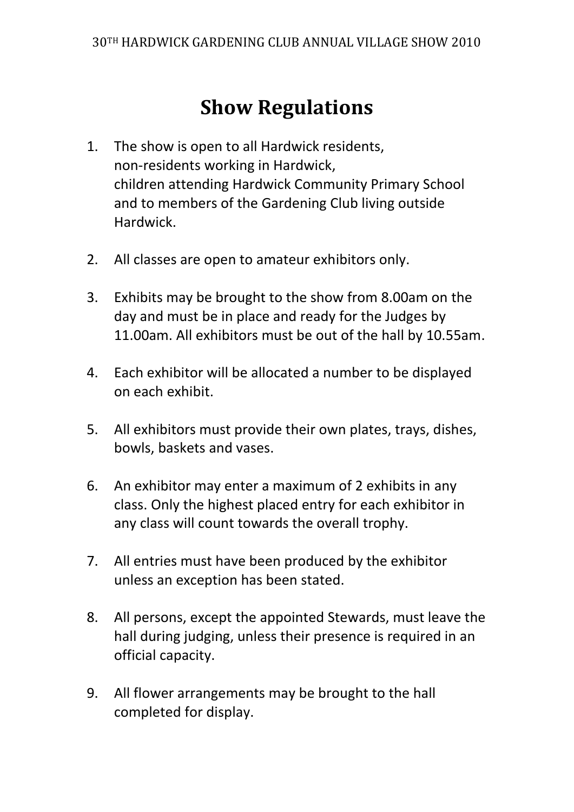## **Show Regulations**

- 1. The show is open to all Hardwick residents, non-residents working in Hardwick, children attending Hardwick Community Primary School and to members of the Gardening Club living outside Hardwick.
- 2. All classes are open to amateur exhibitors only.
- 3. Exhibits may be brought to the show from 8.00am on the day and must be in place and ready for the Judges by 11.00am. All exhibitors must be out of the hall by 10.55am.
- 4. Each exhibitor will be allocated a number to be displayed on each exhibit.
- 5. All exhibitors must provide their own plates, trays, dishes, bowls, baskets and vases.
- 6. An exhibitor may enter a maximum of 2 exhibits in any class. Only the highest placed entry for each exhibitor in any class will count towards the overall trophy.
- 7. All entries must have been produced by the exhibitor unless an exception has been stated.
- 8. All persons, except the appointed Stewards, must leave the hall during judging, unless their presence is required in an official capacity.
- 9. All flower arrangements may be brought to the hall completed for display.